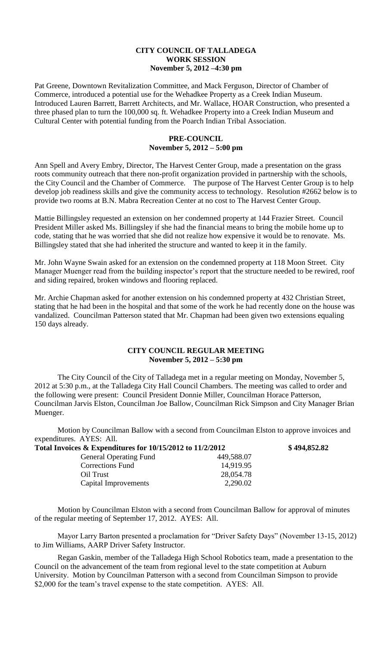## **CITY COUNCIL OF TALLADEGA WORK SESSION November 5, 2012 –4:30 pm**

Pat Greene, Downtown Revitalization Committee, and Mack Ferguson, Director of Chamber of Commerce, introduced a potential use for the Wehadkee Property as a Creek Indian Museum. Introduced Lauren Barrett, Barrett Architects, and Mr. Wallace, HOAR Construction, who presented a three phased plan to turn the 100,000 sq. ft. Wehadkee Property into a Creek Indian Museum and Cultural Center with potential funding from the Poarch Indian Tribal Association.

## **PRE-COUNCIL November 5, 2012 – 5:00 pm**

Ann Spell and Avery Embry, Director, The Harvest Center Group, made a presentation on the grass roots community outreach that there non-profit organization provided in partnership with the schools, the City Council and the Chamber of Commerce. The purpose of The Harvest Center Group is to help develop job readiness skills and give the community access to technology. Resolution #2662 below is to provide two rooms at B.N. Mabra Recreation Center at no cost to The Harvest Center Group.

Mattie Billingsley requested an extension on her condemned property at 144 Frazier Street. Council President Miller asked Ms. Billingsley if she had the financial means to bring the mobile home up to code, stating that he was worried that she did not realize how expensive it would be to renovate. Ms. Billingsley stated that she had inherited the structure and wanted to keep it in the family.

Mr. John Wayne Swain asked for an extension on the condemned property at 118 Moon Street. City Manager Muenger read from the building inspector's report that the structure needed to be rewired, roof and siding repaired, broken windows and flooring replaced.

Mr. Archie Chapman asked for another extension on his condemned property at 432 Christian Street, stating that he had been in the hospital and that some of the work he had recently done on the house was vandalized. Councilman Patterson stated that Mr. Chapman had been given two extensions equaling 150 days already.

## **CITY COUNCIL REGULAR MEETING November 5, 2012 – 5:30 pm**

The City Council of the City of Talladega met in a regular meeting on Monday, November 5, 2012 at 5:30 p.m., at the Talladega City Hall Council Chambers. The meeting was called to order and the following were present: Council President Donnie Miller, Councilman Horace Patterson, Councilman Jarvis Elston, Councilman Joe Ballow, Councilman Rick Simpson and City Manager Brian Muenger.

Motion by Councilman Ballow with a second from Councilman Elston to approve invoices and expenditures. AYES: All.

| Total Invoices $\&$ Expenditures for 10/15/2012 to 11/2/2012 |            | \$494,852.82 |
|--------------------------------------------------------------|------------|--------------|
| <b>General Operating Fund</b>                                | 449,588.07 |              |
| Corrections Fund                                             | 14,919.95  |              |
| Oil Trust                                                    | 28,054.78  |              |
| Capital Improvements                                         | 2,290.02   |              |

Motion by Councilman Elston with a second from Councilman Ballow for approval of minutes of the regular meeting of September 17, 2012. AYES: All.

Mayor Larry Barton presented a proclamation for "Driver Safety Days" (November 13-15, 2012) to Jim Williams, AARP Driver Safety Instructor.

Regan Gaskin, member of the Talladega High School Robotics team, made a presentation to the Council on the advancement of the team from regional level to the state competition at Auburn University. Motion by Councilman Patterson with a second from Councilman Simpson to provide \$2,000 for the team's travel expense to the state competition. AYES: All.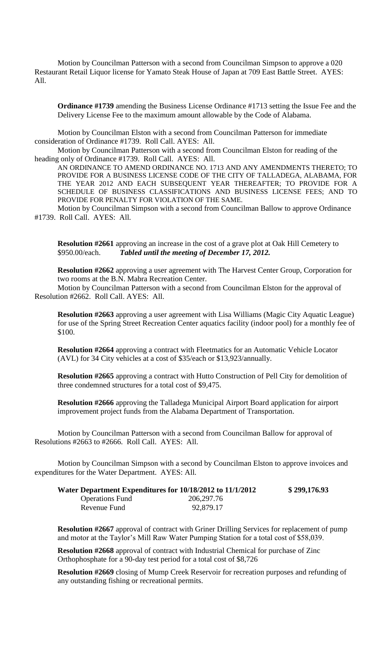Motion by Councilman Patterson with a second from Councilman Simpson to approve a 020 Restaurant Retail Liquor license for Yamato Steak House of Japan at 709 East Battle Street. AYES: All.

**Ordinance #1739** amending the Business License Ordinance #1713 setting the Issue Fee and the Delivery License Fee to the maximum amount allowable by the Code of Alabama.

Motion by Councilman Elston with a second from Councilman Patterson for immediate consideration of Ordinance #1739. Roll Call. AYES: All.

Motion by Councilman Patterson with a second from Councilman Elston for reading of the heading only of Ordinance #1739. Roll Call. AYES: All.

AN ORDINANCE TO AMEND ORDINANCE NO. 1713 AND ANY AMENDMENTS THERETO; TO PROVIDE FOR A BUSINESS LICENSE CODE OF THE CITY OF TALLADEGA, ALABAMA, FOR THE YEAR 2012 AND EACH SUBSEQUENT YEAR THEREAFTER; TO PROVIDE FOR A SCHEDULE OF BUSINESS CLASSIFICATIONS AND BUSINESS LICENSE FEES; AND TO PROVIDE FOR PENALTY FOR VIOLATION OF THE SAME.

Motion by Councilman Simpson with a second from Councilman Ballow to approve Ordinance #1739. Roll Call. AYES: All.

**Resolution #2661** approving an increase in the cost of a grave plot at Oak Hill Cemetery to \$950.00/each. *Tabled until the meeting of December 17, 2012.*

**Resolution #2662** approving a user agreement with The Harvest Center Group, Corporation for two rooms at the B.N. Mabra Recreation Center.

Motion by Councilman Patterson with a second from Councilman Elston for the approval of Resolution #2662. Roll Call. AYES: All.

**Resolution #2663** approving a user agreement with Lisa Williams (Magic City Aquatic League) for use of the Spring Street Recreation Center aquatics facility (indoor pool) for a monthly fee of \$100.

**Resolution #2664** approving a contract with Fleetmatics for an Automatic Vehicle Locator (AVL) for 34 City vehicles at a cost of \$35/each or \$13,923/annually.

**Resolution #2665** approving a contract with Hutto Construction of Pell City for demolition of three condemned structures for a total cost of \$9,475.

**Resolution #2666** approving the Talladega Municipal Airport Board application for airport improvement project funds from the Alabama Department of Transportation.

Motion by Councilman Patterson with a second from Councilman Ballow for approval of Resolutions #2663 to #2666. Roll Call. AYES: All.

Motion by Councilman Simpson with a second by Councilman Elston to approve invoices and expenditures for the Water Department. AYES: All.

| Water Department Expenditures for 10/18/2012 to 11/1/2012 |              | \$299,176.93 |
|-----------------------------------------------------------|--------------|--------------|
| <b>Operations Fund</b>                                    | 206, 297. 76 |              |
| Revenue Fund                                              | 92,879.17    |              |

**Resolution #2667** approval of contract with Griner Drilling Services for replacement of pump and motor at the Taylor's Mill Raw Water Pumping Station for a total cost of \$58,039.

**Resolution #2668** approval of contract with Industrial Chemical for purchase of Zinc Orthophosphate for a 90-day test period for a total cost of \$8,726

**Resolution #2669** closing of Mump Creek Reservoir for recreation purposes and refunding of any outstanding fishing or recreational permits.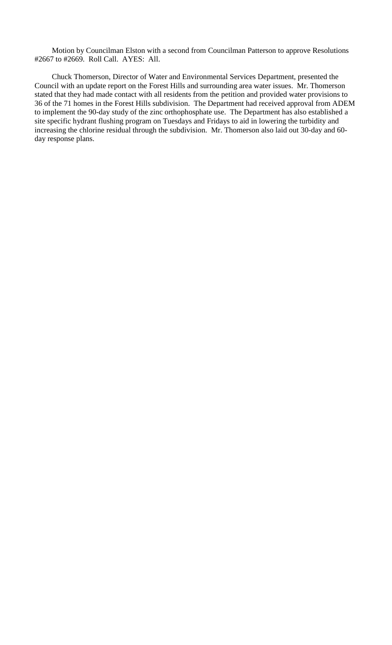Motion by Councilman Elston with a second from Councilman Patterson to approve Resolutions #2667 to #2669. Roll Call. AYES: All.

Chuck Thomerson, Director of Water and Environmental Services Department, presented the Council with an update report on the Forest Hills and surrounding area water issues. Mr. Thomerson stated that they had made contact with all residents from the petition and provided water provisions to 36 of the 71 homes in the Forest Hills subdivision. The Department had received approval from ADEM to implement the 90-day study of the zinc orthophosphate use. The Department has also established a site specific hydrant flushing program on Tuesdays and Fridays to aid in lowering the turbidity and increasing the chlorine residual through the subdivision. Mr. Thomerson also laid out 30-day and 60 day response plans.